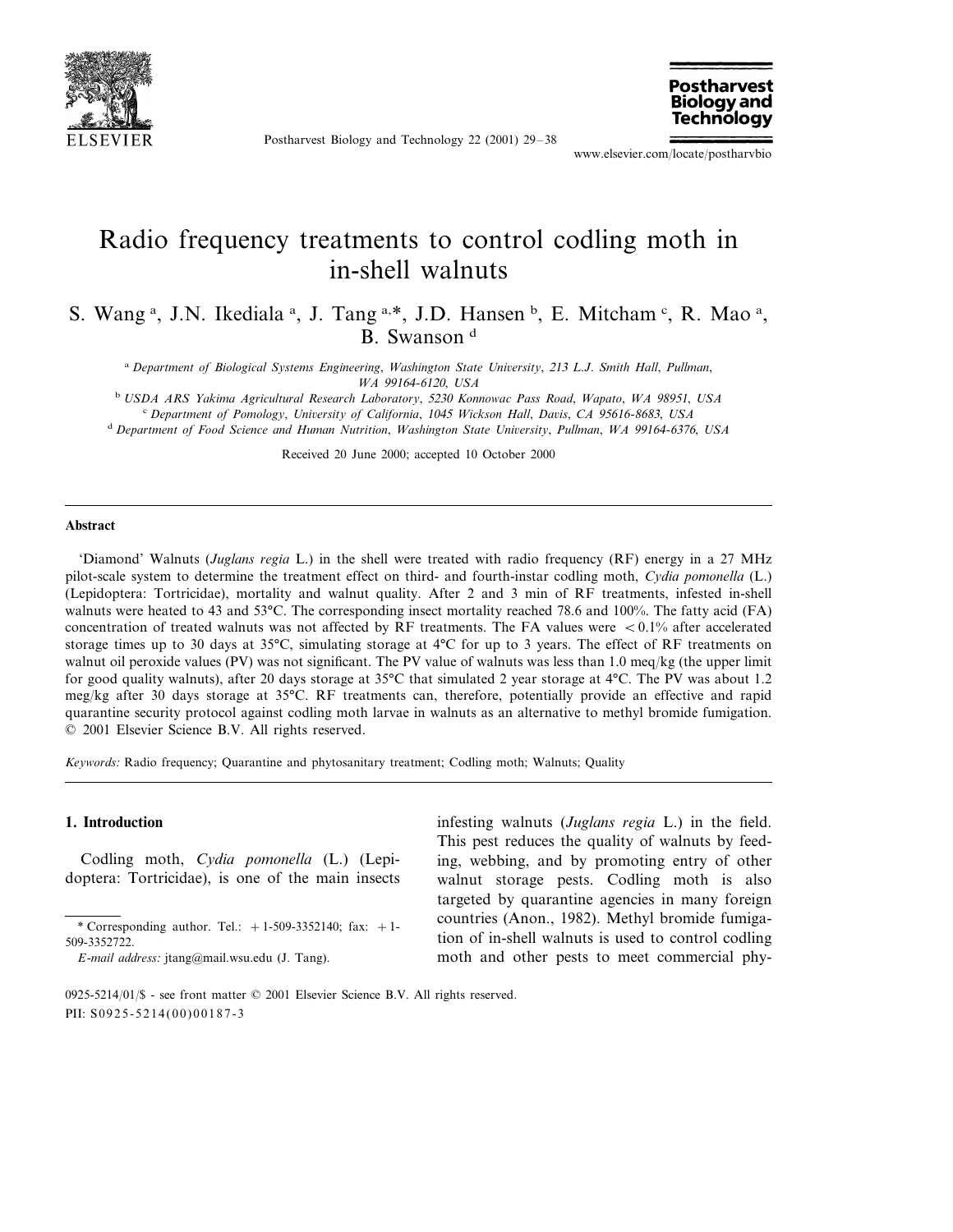

Postharvest Biology and Technology 22 (2001) 29–38



www.elsevier.com/locate/postharvbio

# Radio frequency treatments to control codling moth in in-shell walnuts

S. Wang<sup>a</sup>, J.N. Ikediala<sup>a</sup>, J. Tang<sup>a,\*</sup>, J.D. Hansen<sup>b</sup>, E. Mitcham<sup>c</sup>, R. Mao<sup>a</sup>, B. Swanson<sup>d</sup>

<sup>a</sup> *Department of Biological Systems Engineering*, *Washington State Uni*6*ersity*, <sup>213</sup> *L*.*J*. *Smith Hall*, *Pullman*, *WA* 99164-6120, *USA*

<sup>b</sup> *USDA ARS Yakima Agricultural Research Laboratory*, <sup>5230</sup> *Konnowac Pass Road*, *Wapato*, *WA* <sup>98951</sup>, *USA* <sup>c</sup> Department of Pomology, University of California, 1045 Wickson Hall, Davis, CA 95616-8683, USA

<sup>d</sup> *Department of Food Science and Human Nutrition*, *Washington State Uni*6*ersity*, *Pullman*, *WA* <sup>99164</sup>-6376, *USA*

Received 20 June 2000; accepted 10 October 2000

#### **Abstract**

'Diamond' Walnuts (*Juglans regia* L.) in the shell were treated with radio frequency (RF) energy in a 27 MHz pilot-scale system to determine the treatment effect on third- and fourth-instar codling moth, *Cydia pomonella* (L.) (Lepidoptera: Tortricidae), mortality and walnut quality. After 2 and 3 min of RF treatments, infested in-shell walnuts were heated to 43 and 53°C. The corresponding insect mortality reached 78.6 and 100%. The fatty acid (FA) concentration of treated walnuts was not affected by RF treatments. The FA values were  $\lt 0.1\%$  after accelerated storage times up to 30 days at 35°C, simulating storage at 4°C for up to 3 years. The effect of RF treatments on walnut oil peroxide values (PV) was not significant. The PV value of walnuts was less than 1.0 meq/kg (the upper limit for good quality walnuts), after 20 days storage at 35°C that simulated 2 year storage at 4°C. The PV was about 1.2 meg/kg after 30 days storage at 35°C. RF treatments can, therefore, potentially provide an effective and rapid quarantine security protocol against codling moth larvae in walnuts as an alternative to methyl bromide fumigation. © 2001 Elsevier Science B.V. All rights reserved.

*Keywords*: Radio frequency; Quarantine and phytosanitary treatment; Codling moth; Walnuts; Quality

#### **1. Introduction**

Codling moth, *Cydia pomonella* (L.) (Lepidoptera: Tortricidae), is one of the main insects infesting walnuts (*Juglans regia* L.) in the field. This pest reduces the quality of walnuts by feeding, webbing, and by promoting entry of other walnut storage pests. Codling moth is also targeted by quarantine agencies in many foreign countries (Anon., 1982). Methyl bromide fumigation of in-shell walnuts is used to control codling moth and other pests to meet commercial phy-

<sup>\*</sup> Corresponding author. Tel.:  $+1-509-3352140$ ; fax:  $+1-$ 509-3352722.

*E*-*mail address*: jtang@mail.wsu.edu (J. Tang).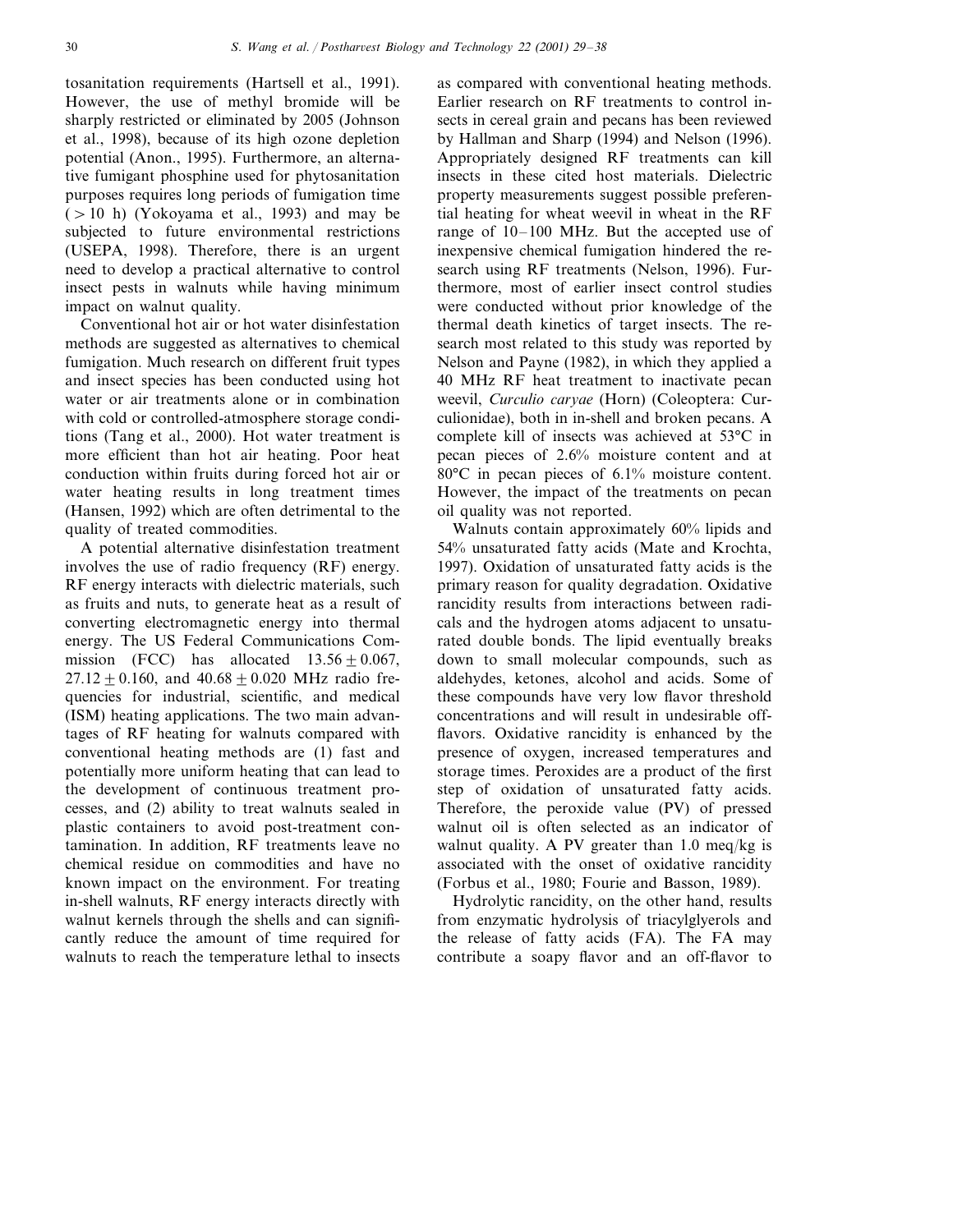tosanitation requirements (Hartsell et al., 1991). However, the use of methyl bromide will be sharply restricted or eliminated by 2005 (Johnson et al., 1998), because of its high ozone depletion potential (Anon., 1995). Furthermore, an alternative fumigant phosphine used for phytosanitation purposes requires long periods of fumigation time  $(>10$  h) (Yokoyama et al., 1993) and may be subjected to future environmental restrictions (USEPA, 1998). Therefore, there is an urgent need to develop a practical alternative to control insect pests in walnuts while having minimum impact on walnut quality.

Conventional hot air or hot water disinfestation methods are suggested as alternatives to chemical fumigation. Much research on different fruit types and insect species has been conducted using hot water or air treatments alone or in combination with cold or controlled-atmosphere storage conditions (Tang et al., 2000). Hot water treatment is more efficient than hot air heating. Poor heat conduction within fruits during forced hot air or water heating results in long treatment times (Hansen, 1992) which are often detrimental to the quality of treated commodities.

A potential alternative disinfestation treatment involves the use of radio frequency (RF) energy. RF energy interacts with dielectric materials, such as fruits and nuts, to generate heat as a result of converting electromagnetic energy into thermal energy. The US Federal Communications Commission (FCC) has allocated  $13.56 \pm 0.067$ ,  $27.12 + 0.160$ , and  $40.68 + 0.020$  MHz radio frequencies for industrial, scientific, and medical (ISM) heating applications. The two main advantages of RF heating for walnuts compared with conventional heating methods are (1) fast and potentially more uniform heating that can lead to the development of continuous treatment processes, and (2) ability to treat walnuts sealed in plastic containers to avoid post-treatment contamination. In addition, RF treatments leave no chemical residue on commodities and have no known impact on the environment. For treating in-shell walnuts, RF energy interacts directly with walnut kernels through the shells and can significantly reduce the amount of time required for walnuts to reach the temperature lethal to insects

as compared with conventional heating methods. Earlier research on RF treatments to control insects in cereal grain and pecans has been reviewed by Hallman and Sharp (1994) and Nelson (1996). Appropriately designed RF treatments can kill insects in these cited host materials. Dielectric property measurements suggest possible preferential heating for wheat weevil in wheat in the RF range of 10–100 MHz. But the accepted use of inexpensive chemical fumigation hindered the research using RF treatments (Nelson, 1996). Furthermore, most of earlier insect control studies were conducted without prior knowledge of the thermal death kinetics of target insects. The research most related to this study was reported by Nelson and Payne (1982), in which they applied a 40 MHz RF heat treatment to inactivate pecan weevil, *Curculio caryae* (Horn) (Coleoptera: Curculionidae), both in in-shell and broken pecans. A complete kill of insects was achieved at 53°C in pecan pieces of 2.6% moisture content and at 80°C in pecan pieces of 6.1% moisture content. However, the impact of the treatments on pecan oil quality was not reported.

Walnuts contain approximately 60% lipids and 54% unsaturated fatty acids (Mate and Krochta, 1997). Oxidation of unsaturated fatty acids is the primary reason for quality degradation. Oxidative rancidity results from interactions between radicals and the hydrogen atoms adjacent to unsaturated double bonds. The lipid eventually breaks down to small molecular compounds, such as aldehydes, ketones, alcohol and acids. Some of these compounds have very low flavor threshold concentrations and will result in undesirable offflavors. Oxidative rancidity is enhanced by the presence of oxygen, increased temperatures and storage times. Peroxides are a product of the first step of oxidation of unsaturated fatty acids. Therefore, the peroxide value (PV) of pressed walnut oil is often selected as an indicator of walnut quality. A PV greater than 1.0 meq/kg is associated with the onset of oxidative rancidity (Forbus et al., 1980; Fourie and Basson, 1989).

Hydrolytic rancidity, on the other hand, results from enzymatic hydrolysis of triacylglyerols and the release of fatty acids (FA). The FA may contribute a soapy flavor and an off-flavor to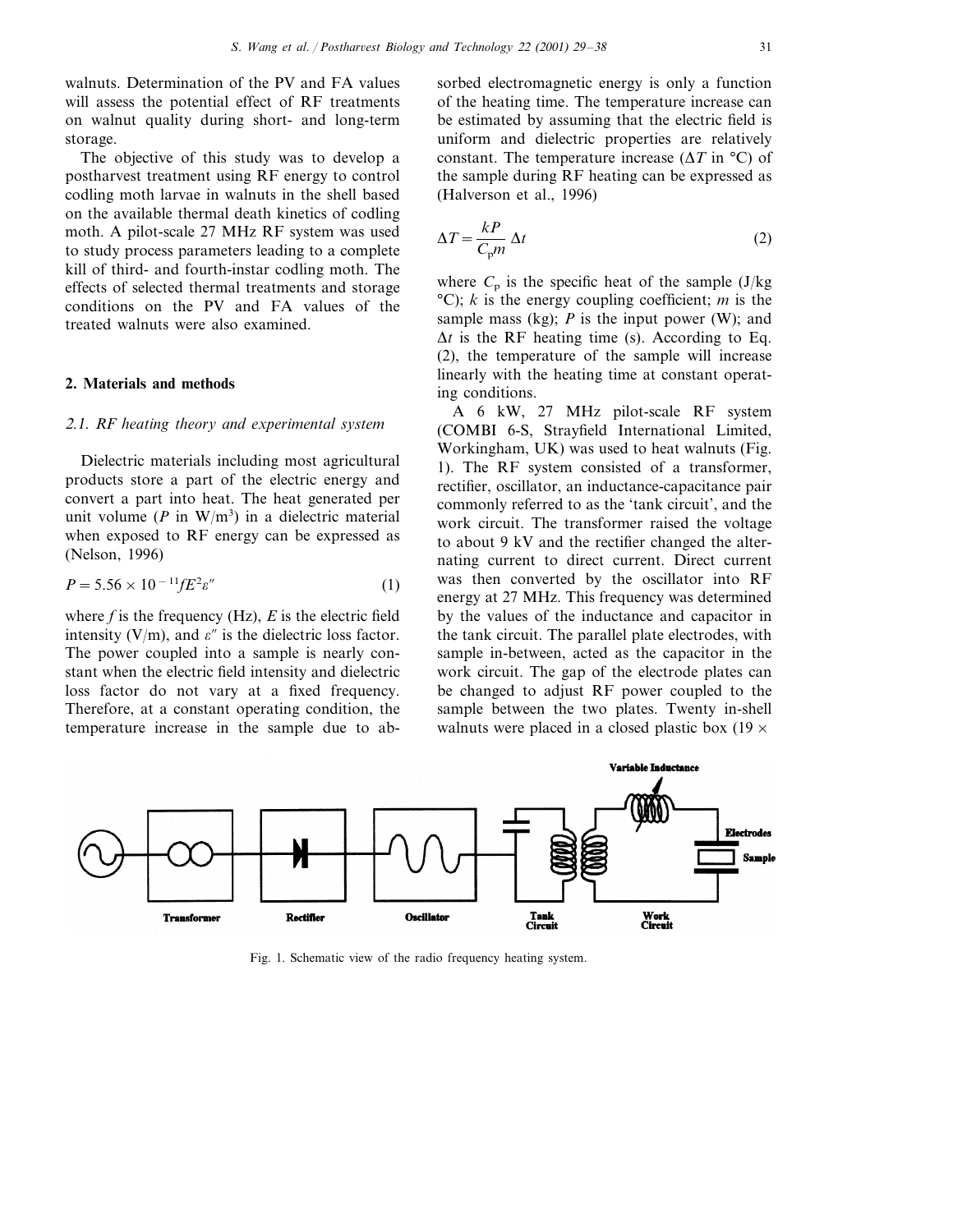walnuts. Determination of the PV and FA values will assess the potential effect of RF treatments on walnut quality during short- and long-term storage.

The objective of this study was to develop a postharvest treatment using RF energy to control codling moth larvae in walnuts in the shell based on the available thermal death kinetics of codling moth. A pilot-scale 27 MHz RF system was used to study process parameters leading to a complete kill of third- and fourth-instar codling moth. The effects of selected thermal treatments and storage conditions on the PV and FA values of the treated walnuts were also examined.

## **2. Materials and methods**

#### <sup>2</sup>.1. *RF heating theory and experimental system*

Dielectric materials including most agricultural products store a part of the electric energy and convert a part into heat. The heat generated per unit volume  $(P \text{ in } W/m^3)$  in a dielectric material when exposed to RF energy can be expressed as (Nelson, 1996)

$$
P = 5.56 \times 10^{-11} f E^2 \varepsilon'' \tag{1}
$$

where  $f$  is the frequency (Hz),  $E$  is the electric field intensity (V/m), and  $\varepsilon''$  is the dielectric loss factor. The power coupled into a sample is nearly constant when the electric field intensity and dielectric loss factor do not vary at a fixed frequency. Therefore, at a constant operating condition, the temperature increase in the sample due to absorbed electromagnetic energy is only a function of the heating time. The temperature increase can be estimated by assuming that the electric field is uniform and dielectric properties are relatively constant. The temperature increase  $(\Delta T \text{ in } ^\circ\text{C})$  of the sample during RF heating can be expressed as (Halverson et al., 1996)

$$
\Delta T = \frac{k}{C_{\rm p}m} \Delta t \tag{2}
$$

where  $C_p$  is the specific heat of the sample  $(J/kg)$ °C); *k* is the energy coupling coefficient; *m* is the sample mass (kg);  $P$  is the input power (W); and  $\Delta t$  is the RF heating time (s). According to Eq. (2), the temperature of the sample will increase linearly with the heating time at constant operating conditions.

A 6 kW, 27 MHz pilot-scale RF system (COMBI 6-S, Strayfield International Limited, Workingham, UK) was used to heat walnuts (Fig. 1). The RF system consisted of a transformer, rectifier, oscillator, an inductance-capacitance pair commonly referred to as the 'tank circuit', and the work circuit. The transformer raised the voltage to about 9 kV and the rectifier changed the alternating current to direct current. Direct current was then converted by the oscillator into RF energy at 27 MHz. This frequency was determined by the values of the inductance and capacitor in the tank circuit. The parallel plate electrodes, with sample in-between, acted as the capacitor in the work circuit. The gap of the electrode plates can be changed to adjust RF power coupled to the sample between the two plates. Twenty in-shell walnuts were placed in a closed plastic box  $(19 \times$ 



Fig. 1. Schematic view of the radio frequency heating system.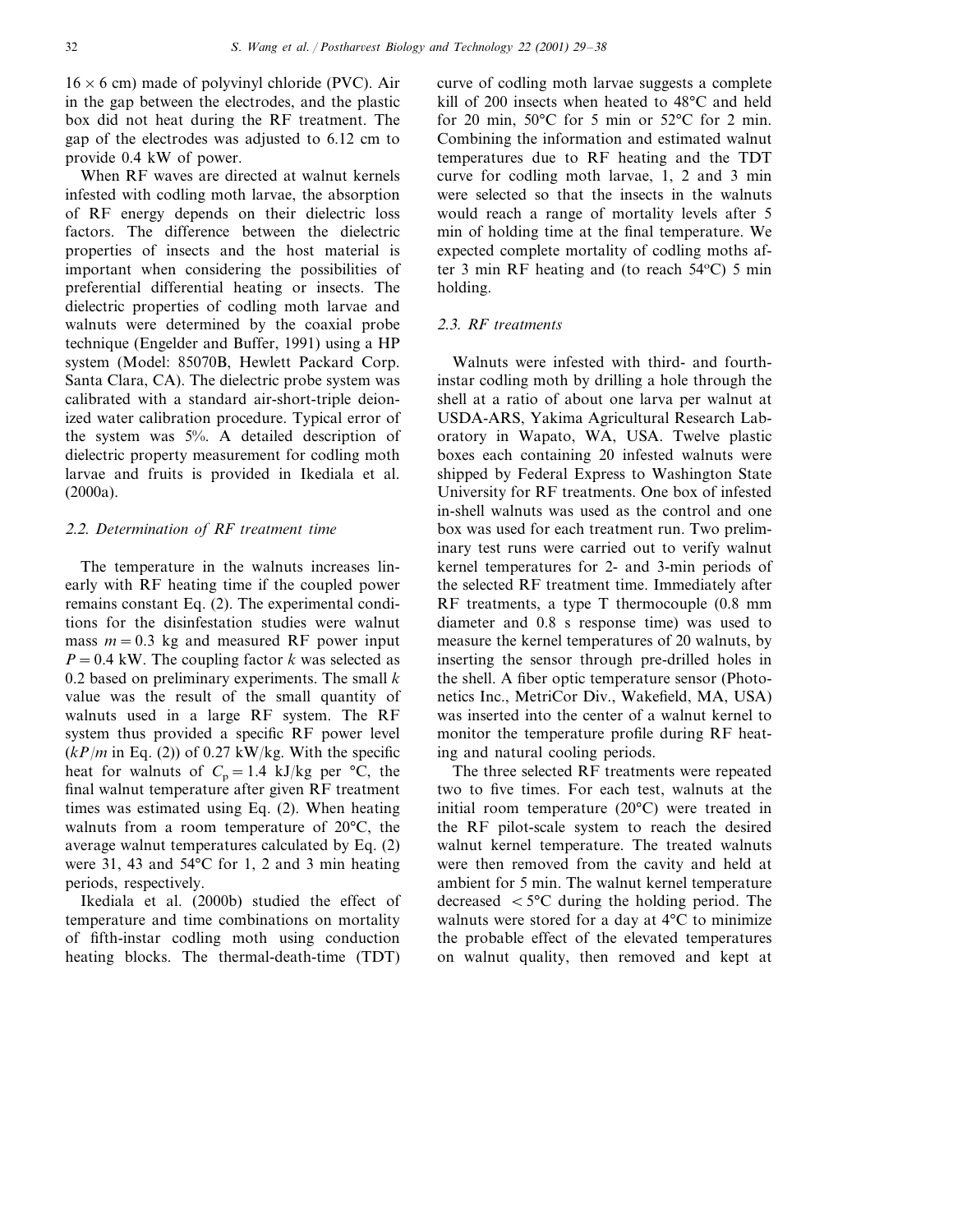$16 \times 6$  cm) made of polyvinyl chloride (PVC). Air in the gap between the electrodes, and the plastic box did not heat during the RF treatment. The gap of the electrodes was adjusted to 6.12 cm to provide 0.4 kW of power.

When RF waves are directed at walnut kernels infested with codling moth larvae, the absorption of RF energy depends on their dielectric loss factors. The difference between the dielectric properties of insects and the host material is important when considering the possibilities of preferential differential heating or insects. The dielectric properties of codling moth larvae and walnuts were determined by the coaxial probe technique (Engelder and Buffer, 1991) using a HP system (Model: 85070B, Hewlett Packard Corp. Santa Clara, CA). The dielectric probe system was calibrated with a standard air-short-triple deionized water calibration procedure. Typical error of the system was 5%. A detailed description of dielectric property measurement for codling moth larvae and fruits is provided in Ikediala et al. (2000a).

#### <sup>2</sup>.2. *Determination of RF treatment time*

The temperature in the walnuts increases linearly with RF heating time if the coupled power remains constant Eq. (2). The experimental conditions for the disinfestation studies were walnut mass  $m = 0.3$  kg and measured RF power input  $P = 0.4$  kW. The coupling factor *k* was selected as 0.2 based on preliminary experiments. The small *k* value was the result of the small quantity of walnuts used in a large RF system. The RF system thus provided a specific RF power level  $(kP/m$  in Eq. (2)) of 0.27 kW/kg. With the specific heat for walnuts of  $C_p = 1.4$  kJ/kg per °C, the final walnut temperature after given RF treatment times was estimated using Eq. (2). When heating walnuts from a room temperature of 20°C, the average walnut temperatures calculated by Eq. (2) were 31, 43 and 54°C for 1, 2 and 3 min heating periods, respectively.

Ikediala et al. (2000b) studied the effect of temperature and time combinations on mortality of fifth-instar codling moth using conduction heating blocks. The thermal-death-time (TDT)

curve of codling moth larvae suggests a complete kill of 200 insects when heated to 48°C and held for 20 min, 50°C for 5 min or 52°C for 2 min. Combining the information and estimated walnut temperatures due to RF heating and the TDT curve for codling moth larvae, 1, 2 and 3 min were selected so that the insects in the walnuts would reach a range of mortality levels after 5 min of holding time at the final temperature. We expected complete mortality of codling moths after 3 min RF heating and (to reach 54°C) 5 min holding.

## <sup>2</sup>.3. *RF treatments*

Walnuts were infested with third- and fourthinstar codling moth by drilling a hole through the shell at a ratio of about one larva per walnut at USDA-ARS, Yakima Agricultural Research Laboratory in Wapato, WA, USA. Twelve plastic boxes each containing 20 infested walnuts were shipped by Federal Express to Washington State University for RF treatments. One box of infested in-shell walnuts was used as the control and one box was used for each treatment run. Two preliminary test runs were carried out to verify walnut kernel temperatures for 2- and 3-min periods of the selected RF treatment time. Immediately after RF treatments, a type T thermocouple (0.8 mm diameter and 0.8 s response time) was used to measure the kernel temperatures of 20 walnuts, by inserting the sensor through pre-drilled holes in the shell. A fiber optic temperature sensor (Photonetics Inc., MetriCor Div., Wakefield, MA, USA) was inserted into the center of a walnut kernel to monitor the temperature profile during RF heating and natural cooling periods.

The three selected RF treatments were repeated two to five times. For each test, walnuts at the initial room temperature (20°C) were treated in the RF pilot-scale system to reach the desired walnut kernel temperature. The treated walnuts were then removed from the cavity and held at ambient for 5 min. The walnut kernel temperature decreased  $\lt$  5°C during the holding period. The walnuts were stored for a day at 4°C to minimize the probable effect of the elevated temperatures on walnut quality, then removed and kept at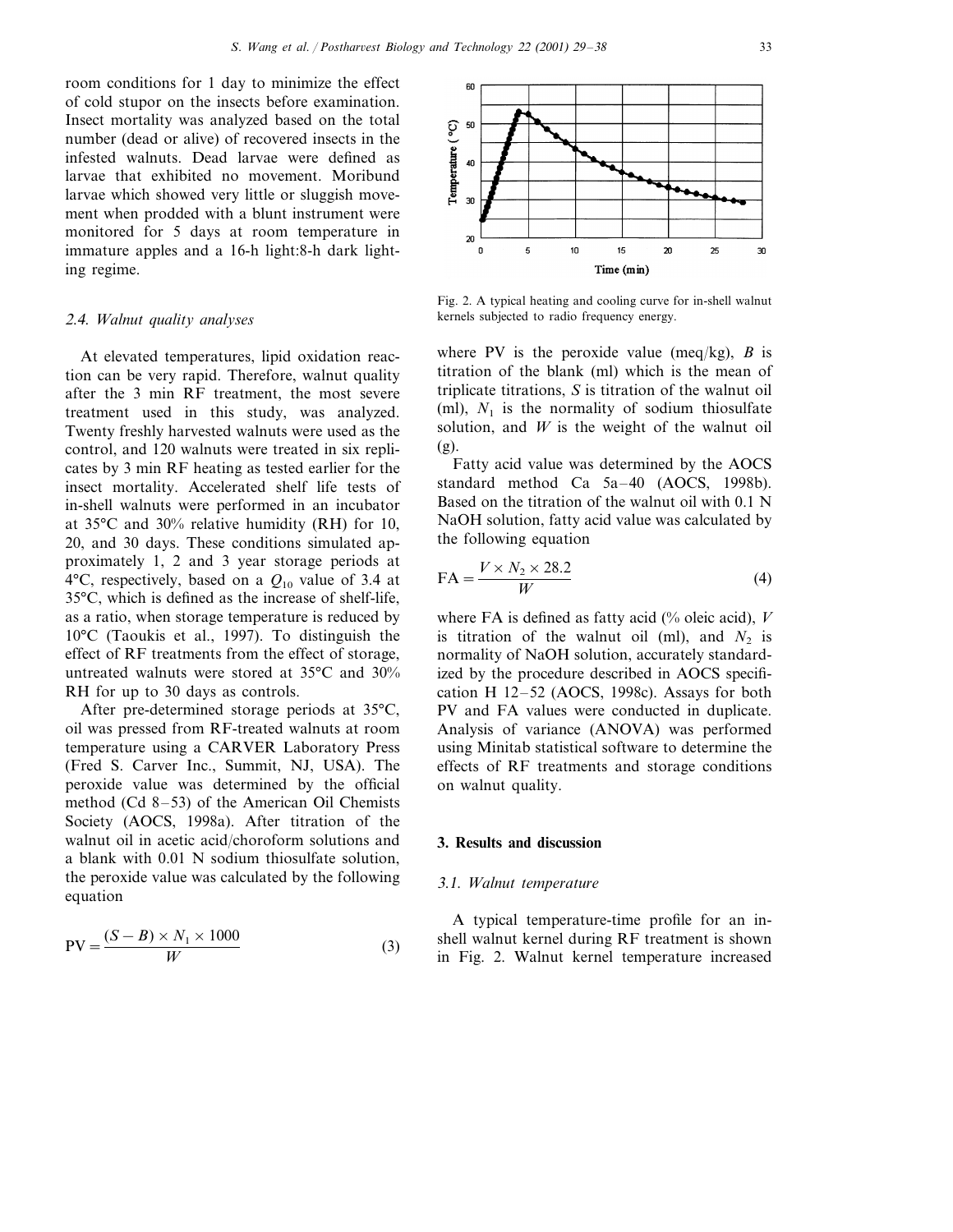room conditions for 1 day to minimize the effect of cold stupor on the insects before examination. Insect mortality was analyzed based on the total number (dead or alive) of recovered insects in the infested walnuts. Dead larvae were defined as larvae that exhibited no movement. Moribund larvae which showed very little or sluggish movement when prodded with a blunt instrument were monitored for 5 days at room temperature in immature apples and a 16-h light:8-h dark lighting regime.

## <sup>2</sup>.4. *Walnut quality analyses*

At elevated temperatures, lipid oxidation reaction can be very rapid. Therefore, walnut quality after the 3 min RF treatment, the most severe treatment used in this study, was analyzed. Twenty freshly harvested walnuts were used as the control, and 120 walnuts were treated in six replicates by 3 min RF heating as tested earlier for the insect mortality. Accelerated shelf life tests of in-shell walnuts were performed in an incubator at 35°C and 30% relative humidity (RH) for 10, 20, and 30 days. These conditions simulated approximately 1, 2 and 3 year storage periods at 4 $\rm ^{4}$ °C, respectively, based on a  $Q_{10}$  value of 3.4 at 35°C, which is defined as the increase of shelf-life, as a ratio, when storage temperature is reduced by 10°C (Taoukis et al., 1997). To distinguish the effect of RF treatments from the effect of storage, untreated walnuts were stored at 35°C and 30% RH for up to 30 days as controls.

After pre-determined storage periods at 35°C, oil was pressed from RF-treated walnuts at room temperature using a CARVER Laboratory Press (Fred S. Carver Inc., Summit, NJ, USA). The peroxide value was determined by the official method (Cd 8–53) of the American Oil Chemists Society (AOCS, 1998a). After titration of the walnut oil in acetic acid/choroform solutions and a blank with 0.01 N sodium thiosulfate solution, the peroxide value was calculated by the following equation

$$
PV = \frac{(S - B) \times N_1 \times 1000}{W}
$$
 (3)



Fig. 2. A typical heating and cooling curve for in-shell walnut kernels subjected to radio frequency energy.

where PV is the peroxide value (meq/kg),  $B$  is titration of the blank (ml) which is the mean of triplicate titrations, *S* is titration of the walnut oil (ml),  $N_1$  is the normality of sodium thiosulfate solution, and *W* is the weight of the walnut oil (g).

Fatty acid value was determined by the AOCS standard method Ca 5a–40 (AOCS, 1998b). Based on the titration of the walnut oil with 0.1 N NaOH solution, fatty acid value was calculated by the following equation

$$
FA = \frac{V \times N_2 \times 28.2}{W}
$$
 (4)

where FA is defined as fatty acid (% oleic acid), *V* is titration of the walnut oil (ml), and  $N_2$  is normality of NaOH solution, accurately standardized by the procedure described in AOCS specification H 12–52 (AOCS, 1998c). Assays for both PV and FA values were conducted in duplicate. Analysis of variance (ANOVA) was performed using Minitab statistical software to determine the effects of RF treatments and storage conditions on walnut quality.

## **3. Results and discussion**

#### 3.1. *Walnut temperature*

A typical temperature-time profile for an inshell walnut kernel during RF treatment is shown in Fig. 2. Walnut kernel temperature increased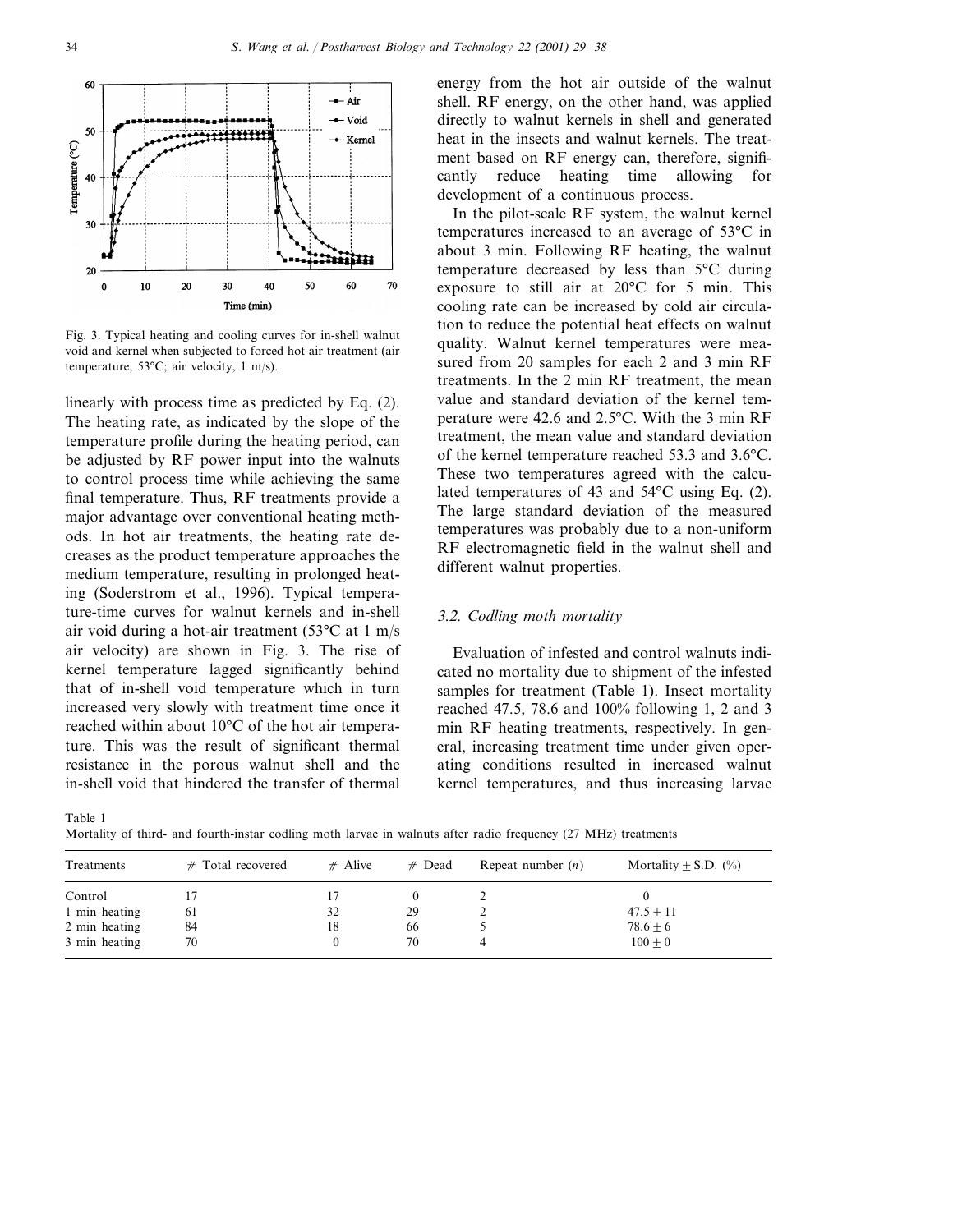

Fig. 3. Typical heating and cooling curves for in-shell walnut void and kernel when subjected to forced hot air treatment (air temperature, 53°C; air velocity, 1 m/s).

linearly with process time as predicted by Eq. (2). The heating rate, as indicated by the slope of the temperature profile during the heating period, can be adjusted by RF power input into the walnuts to control process time while achieving the same final temperature. Thus, RF treatments provide a major advantage over conventional heating methods. In hot air treatments, the heating rate decreases as the product temperature approaches the medium temperature, resulting in prolonged heating (Soderstrom et al., 1996). Typical temperature-time curves for walnut kernels and in-shell air void during a hot-air treatment (53°C at 1 m/s air velocity) are shown in Fig. 3. The rise of kernel temperature lagged significantly behind that of in-shell void temperature which in turn increased very slowly with treatment time once it reached within about 10°C of the hot air temperature. This was the result of significant thermal resistance in the porous walnut shell and the in-shell void that hindered the transfer of thermal energy from the hot air outside of the walnut shell. RF energy, on the other hand, was applied directly to walnut kernels in shell and generated heat in the insects and walnut kernels. The treatment based on RF energy can, therefore, significantly reduce heating time allowing for development of a continuous process.

In the pilot-scale RF system, the walnut kernel temperatures increased to an average of 53°C in about 3 min. Following RF heating, the walnut temperature decreased by less than 5°C during exposure to still air at 20°C for 5 min. This cooling rate can be increased by cold air circulation to reduce the potential heat effects on walnut quality. Walnut kernel temperatures were measured from 20 samples for each 2 and 3 min RF treatments. In the 2 min RF treatment, the mean value and standard deviation of the kernel temperature were 42.6 and 2.5°C. With the 3 min RF treatment, the mean value and standard deviation of the kernel temperature reached 53.3 and 3.6°C. These two temperatures agreed with the calculated temperatures of 43 and 54°C using Eq. (2). The large standard deviation of the measured temperatures was probably due to a non-uniform RF electromagnetic field in the walnut shell and different walnut properties.

## 3.2. *Codling moth mortality*

Evaluation of infested and control walnuts indicated no mortality due to shipment of the infested samples for treatment (Table 1). Insect mortality reached 47.5, 78.6 and 100% following 1, 2 and 3 min RF heating treatments, respectively. In general, increasing treatment time under given operating conditions resulted in increased walnut kernel temperatures, and thus increasing larvae

Table 1

Mortality of third- and fourth-instar codling moth larvae in walnuts after radio frequency (27 MHz) treatments

| Treatments    | $#$ Total recovered | $#$ Alive | $#$ Dead | Repeat number $(n)$ | Mortality $\pm$ S.D. (%) |
|---------------|---------------------|-----------|----------|---------------------|--------------------------|
| Control       |                     |           |          |                     |                          |
| 1 min heating | 61                  | 32        | 29       |                     | $47.5 + 11$              |
| 2 min heating | 84                  | 18        | 66       |                     | $78.6 \pm 6$             |
| 3 min heating | 70                  |           | 70       |                     | $100 + 0$                |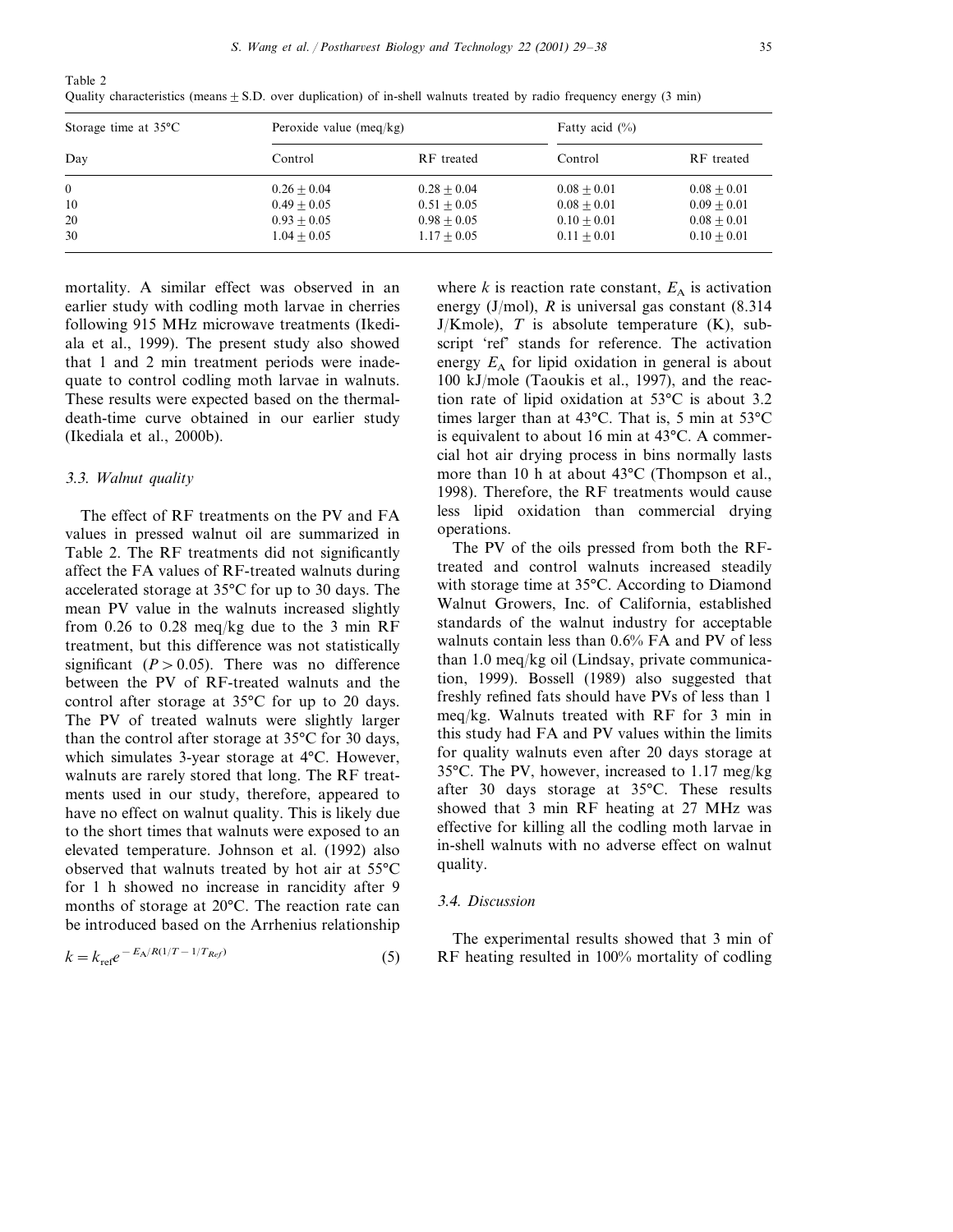| Storage time at $35^{\circ}$ C | Peroxide value $(meq/kg)$ |               | Fatty acid $(\% )$ |               |
|--------------------------------|---------------------------|---------------|--------------------|---------------|
| Day                            | Control                   | RF treated    | Control            | RF treated    |
| $\theta$                       | $0.26 + 0.04$             | $0.28 + 0.04$ | $0.08 + 0.01$      | $0.08 + 0.01$ |
| 10                             | $0.49 + 0.05$             | $0.51 + 0.05$ | $0.08 + 0.01$      | $0.09 + 0.01$ |
| 20                             | $0.93 + 0.05$             | $0.98 + 0.05$ | $0.10 + 0.01$      | $0.08 + 0.01$ |
| 30                             | $1.04 + 0.05$             | $1.17 + 0.05$ | $0.11 + 0.01$      | $0.10 + 0.01$ |

Quality characteristics (means  $\pm$  S.D. over duplication) of in-shell walnuts treated by radio frequency energy (3 min)

mortality. A similar effect was observed in an earlier study with codling moth larvae in cherries following 915 MHz microwave treatments (Ikediala et al., 1999). The present study also showed that 1 and 2 min treatment periods were inadequate to control codling moth larvae in walnuts. These results were expected based on the thermaldeath-time curve obtained in our earlier study (Ikediala et al., 2000b).

#### 3.3. *Walnut quality*

Table 2

The effect of RF treatments on the PV and FA values in pressed walnut oil are summarized in Table 2. The RF treatments did not significantly affect the FA values of RF-treated walnuts during accelerated storage at 35°C for up to 30 days. The mean PV value in the walnuts increased slightly from 0.26 to 0.28 meq/kg due to the 3 min RF treatment, but this difference was not statistically significant  $(P > 0.05)$ . There was no difference between the PV of RF-treated walnuts and the control after storage at 35°C for up to 20 days. The PV of treated walnuts were slightly larger than the control after storage at 35°C for 30 days, which simulates 3-year storage at 4°C. However, walnuts are rarely stored that long. The RF treatments used in our study, therefore, appeared to have no effect on walnut quality. This is likely due to the short times that walnuts were exposed to an elevated temperature. Johnson et al. (1992) also observed that walnuts treated by hot air at 55°C for 1 h showed no increase in rancidity after 9 months of storage at 20°C. The reaction rate can be introduced based on the Arrhenius relationship

$$
k = k_{\text{ref}} e^{-E_A/R(1/T - 1/T_{Ref})}
$$
\n(5)

where  $k$  is reaction rate constant,  $E_A$  is activation energy (J/mol), *R* is universal gas constant (8.314  $J/Kmole$ , *T* is absolute temperature  $(K)$ , subscript 'ref' stands for reference. The activation energy  $E_A$  for lipid oxidation in general is about 100 kJ/mole (Taoukis et al., 1997), and the reaction rate of lipid oxidation at 53°C is about 3.2 times larger than at 43°C. That is, 5 min at 53°C is equivalent to about 16 min at 43°C. A commercial hot air drying process in bins normally lasts more than 10 h at about 43°C (Thompson et al., 1998). Therefore, the RF treatments would cause less lipid oxidation than commercial drying operations.

The PV of the oils pressed from both the RFtreated and control walnuts increased steadily with storage time at 35°C. According to Diamond Walnut Growers, Inc. of California, established standards of the walnut industry for acceptable walnuts contain less than 0.6% FA and PV of less than 1.0 meq/kg oil (Lindsay, private communication, 1999). Bossell (1989) also suggested that freshly refined fats should have PVs of less than 1 meq/kg. Walnuts treated with RF for 3 min in this study had FA and PV values within the limits for quality walnuts even after 20 days storage at 35°C. The PV, however, increased to 1.17 meg/kg after 30 days storage at 35°C. These results showed that 3 min RF heating at 27 MHz was effective for killing all the codling moth larvae in in-shell walnuts with no adverse effect on walnut quality.

#### 3.4. *Discussion*

The experimental results showed that 3 min of RF heating resulted in 100% mortality of codling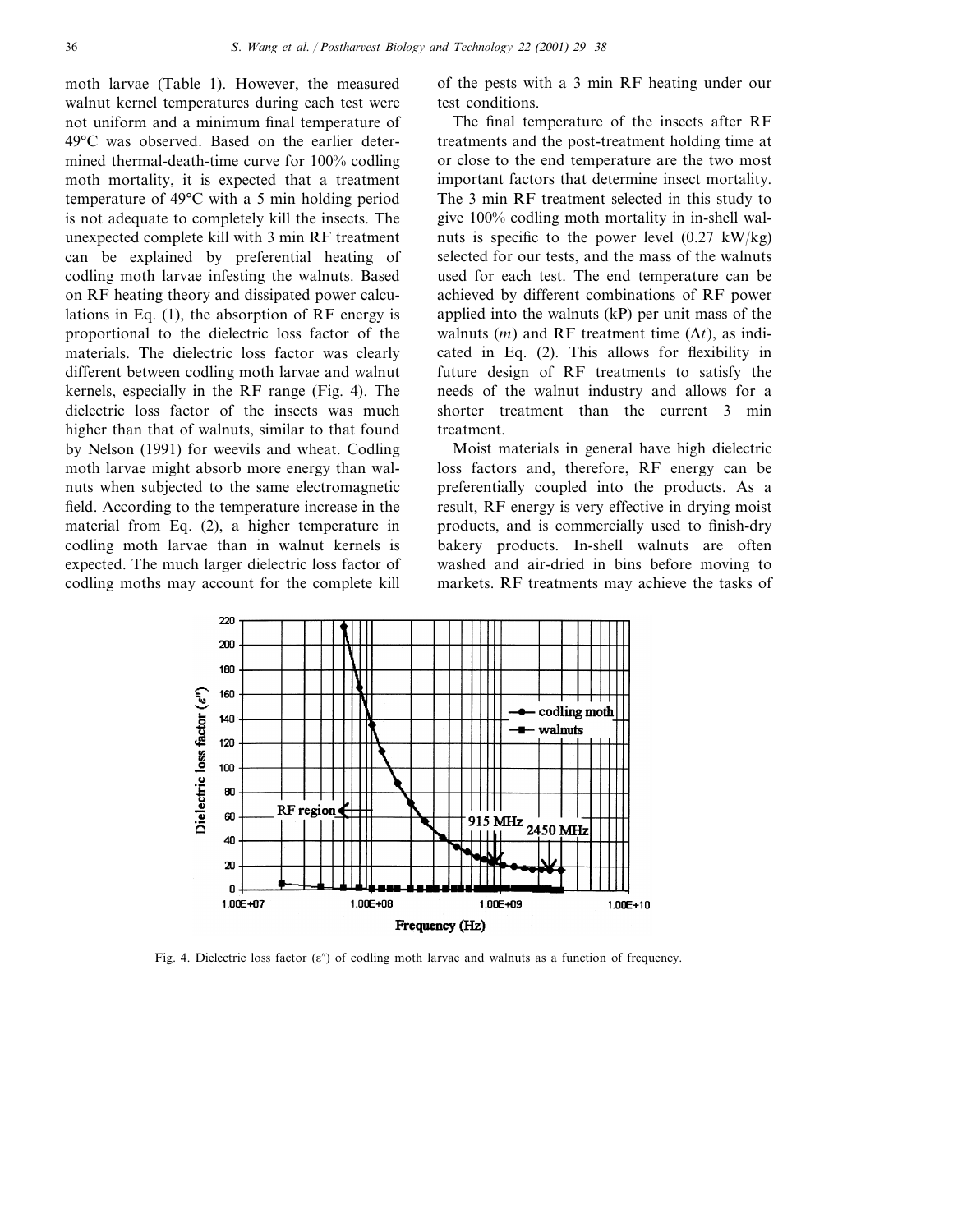moth larvae (Table 1). However, the measured walnut kernel temperatures during each test were not uniform and a minimum final temperature of 49°C was observed. Based on the earlier determined thermal-death-time curve for 100% codling moth mortality, it is expected that a treatment temperature of 49°C with a 5 min holding period is not adequate to completely kill the insects. The unexpected complete kill with 3 min RF treatment can be explained by preferential heating of codling moth larvae infesting the walnuts. Based on RF heating theory and dissipated power calculations in Eq. (1), the absorption of RF energy is proportional to the dielectric loss factor of the materials. The dielectric loss factor was clearly different between codling moth larvae and walnut kernels, especially in the RF range (Fig. 4). The dielectric loss factor of the insects was much higher than that of walnuts, similar to that found by Nelson (1991) for weevils and wheat. Codling moth larvae might absorb more energy than walnuts when subjected to the same electromagnetic field. According to the temperature increase in the material from Eq. (2), a higher temperature in codling moth larvae than in walnut kernels is expected. The much larger dielectric loss factor of codling moths may account for the complete kill

of the pests with a 3 min RF heating under our test conditions.

The final temperature of the insects after RF treatments and the post-treatment holding time at or close to the end temperature are the two most important factors that determine insect mortality. The 3 min RF treatment selected in this study to give 100% codling moth mortality in in-shell walnuts is specific to the power level  $(0.27 \text{ kW/kg})$ selected for our tests, and the mass of the walnuts used for each test. The end temperature can be achieved by different combinations of RF power applied into the walnuts (kP) per unit mass of the walnuts  $(m)$  and RF treatment time  $(\Delta t)$ , as indicated in Eq. (2). This allows for flexibility in future design of RF treatments to satisfy the needs of the walnut industry and allows for a shorter treatment than the current 3 min treatment.

Moist materials in general have high dielectric loss factors and, therefore, RF energy can be preferentially coupled into the products. As a result, RF energy is very effective in drying moist products, and is commercially used to finish-dry bakery products. In-shell walnuts are often washed and air-dried in bins before moving to markets. RF treatments may achieve the tasks of



Fig. 4. Dielectric loss factor  $(\epsilon'')$  of codling moth larvae and walnuts as a function of frequency.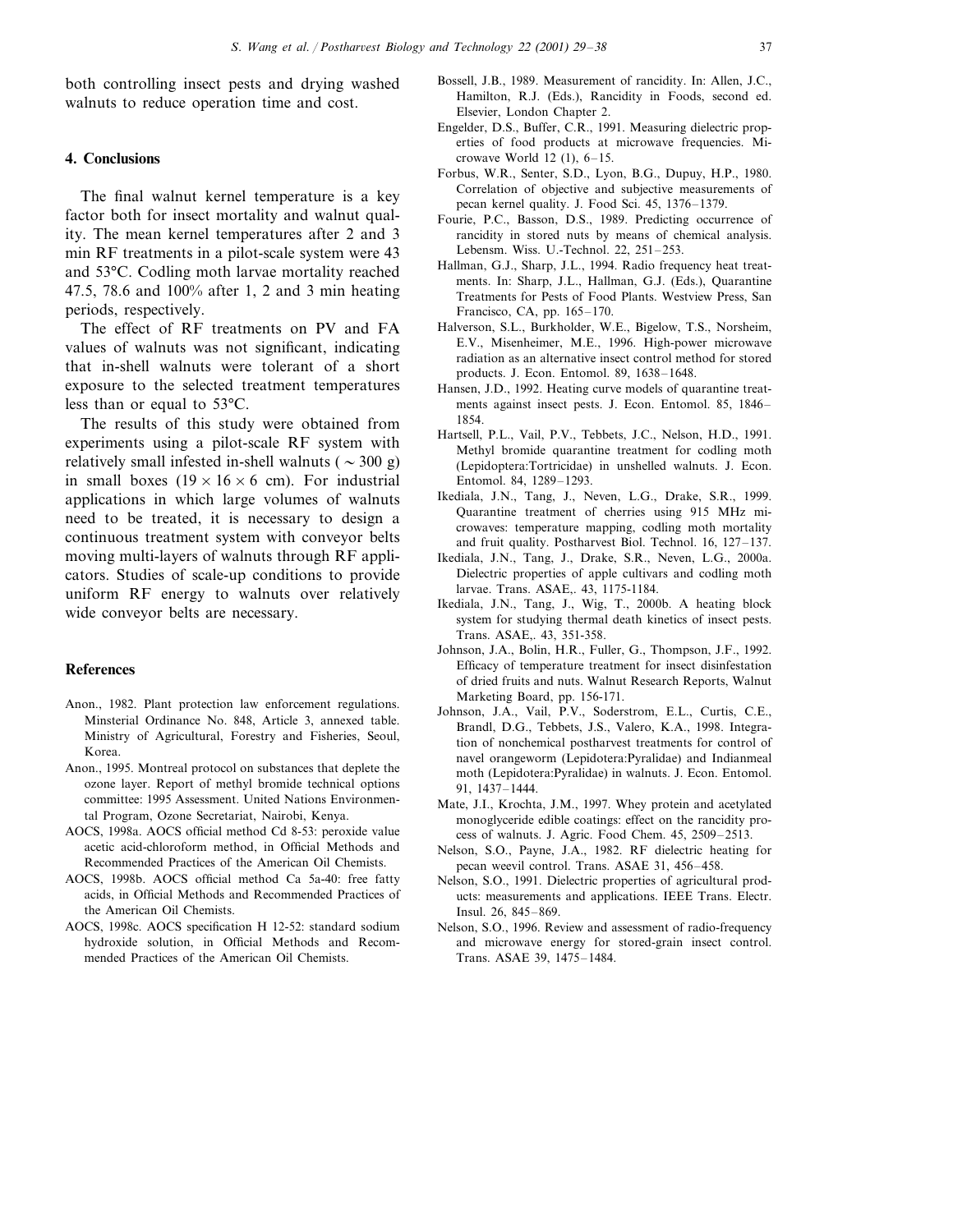both controlling insect pests and drying washed walnuts to reduce operation time and cost.

#### **4. Conclusions**

The final walnut kernel temperature is a key factor both for insect mortality and walnut quality. The mean kernel temperatures after 2 and 3 min RF treatments in a pilot-scale system were 43 and 53°C. Codling moth larvae mortality reached 47.5, 78.6 and 100% after 1, 2 and 3 min heating periods, respectively.

The effect of RF treatments on PV and FA values of walnuts was not significant, indicating that in-shell walnuts were tolerant of a short exposure to the selected treatment temperatures less than or equal to 53°C.

The results of this study were obtained from experiments using a pilot-scale RF system with relatively small infested in-shell walnuts ( $\sim$  300 g) in small boxes  $(19 \times 16 \times 6$  cm). For industrial applications in which large volumes of walnuts need to be treated, it is necessary to design a continuous treatment system with conveyor belts moving multi-layers of walnuts through RF applicators. Studies of scale-up conditions to provide uniform RF energy to walnuts over relatively wide conveyor belts are necessary.

## **References**

- Anon., 1982. Plant protection law enforcement regulations. Minsterial Ordinance No. 848, Article 3, annexed table. Ministry of Agricultural, Forestry and Fisheries, Seoul, Korea.
- Anon., 1995. Montreal protocol on substances that deplete the ozone layer. Report of methyl bromide technical options committee: 1995 Assessment. United Nations Environmental Program, Ozone Secretariat, Nairobi, Kenya.
- AOCS, 1998a. AOCS official method Cd 8-53: peroxide value acetic acid-chloroform method, in Official Methods and Recommended Practices of the American Oil Chemists.
- AOCS, 1998b. AOCS official method Ca 5a-40: free fatty acids, in Official Methods and Recommended Practices of the American Oil Chemists.
- AOCS, 1998c. AOCS specification H 12-52: standard sodium hydroxide solution, in Official Methods and Recommended Practices of the American Oil Chemists.
- Bossell, J.B., 1989. Measurement of rancidity. In: Allen, J.C., Hamilton, R.J. (Eds.), Rancidity in Foods, second ed. Elsevier, London Chapter 2.
- Engelder, D.S., Buffer, C.R., 1991. Measuring dielectric properties of food products at microwave frequencies. Microwave World 12 (1), 6–15.
- Forbus, W.R., Senter, S.D., Lyon, B.G., Dupuy, H.P., 1980. Correlation of objective and subjective measurements of pecan kernel quality. J. Food Sci. 45, 1376–1379.
- Fourie, P.C., Basson, D.S., 1989. Predicting occurrence of rancidity in stored nuts by means of chemical analysis. Lebensm. Wiss. U.-Technol. 22, 251–253.
- Hallman, G.J., Sharp, J.L., 1994. Radio frequency heat treatments. In: Sharp, J.L., Hallman, G.J. (Eds.), Quarantine Treatments for Pests of Food Plants. Westview Press, San Francisco, CA, pp. 165–170.
- Halverson, S.L., Burkholder, W.E., Bigelow, T.S., Norsheim, E.V., Misenheimer, M.E., 1996. High-power microwave radiation as an alternative insect control method for stored products. J. Econ. Entomol. 89, 1638–1648.
- Hansen, J.D., 1992. Heating curve models of quarantine treatments against insect pests. J. Econ. Entomol. 85, 1846– 1854.
- Hartsell, P.L., Vail, P.V., Tebbets, J.C., Nelson, H.D., 1991. Methyl bromide quarantine treatment for codling moth (Lepidoptera:Tortricidae) in unshelled walnuts. J. Econ. Entomol. 84, 1289–1293.
- Ikediala, J.N., Tang, J., Neven, L.G., Drake, S.R., 1999. Quarantine treatment of cherries using 915 MHz microwaves: temperature mapping, codling moth mortality and fruit quality. Postharvest Biol. Technol. 16, 127–137.
- Ikediala, J.N., Tang, J., Drake, S.R., Neven, L.G., 2000a. Dielectric properties of apple cultivars and codling moth larvae. Trans. ASAE,. 43, 1175-1184.
- Ikediala, J.N., Tang, J., Wig, T., 2000b. A heating block system for studying thermal death kinetics of insect pests. Trans. ASAE,. 43, 351-358.
- Johnson, J.A., Bolin, H.R., Fuller, G., Thompson, J.F., 1992. Efficacy of temperature treatment for insect disinfestation of dried fruits and nuts. Walnut Research Reports, Walnut Marketing Board, pp. 156-171.
- Johnson, J.A., Vail, P.V., Soderstrom, E.L., Curtis, C.E., Brandl, D.G., Tebbets, J.S., Valero, K.A., 1998. Integration of nonchemical postharvest treatments for control of navel orangeworm (Lepidotera:Pyralidae) and Indianmeal moth (Lepidotera:Pyralidae) in walnuts. J. Econ. Entomol. 91, 1437–1444.
- Mate, J.I., Krochta, J.M., 1997. Whey protein and acetylated monoglyceride edible coatings: effect on the rancidity process of walnuts. J. Agric. Food Chem. 45, 2509–2513.
- Nelson, S.O., Payne, J.A., 1982. RF dielectric heating for pecan weevil control. Trans. ASAE 31, 456–458.
- Nelson, S.O., 1991. Dielectric properties of agricultural products: measurements and applications. IEEE Trans. Electr. Insul. 26, 845–869.
- Nelson, S.O., 1996. Review and assessment of radio-frequency and microwave energy for stored-grain insect control. Trans. ASAE 39, 1475–1484.